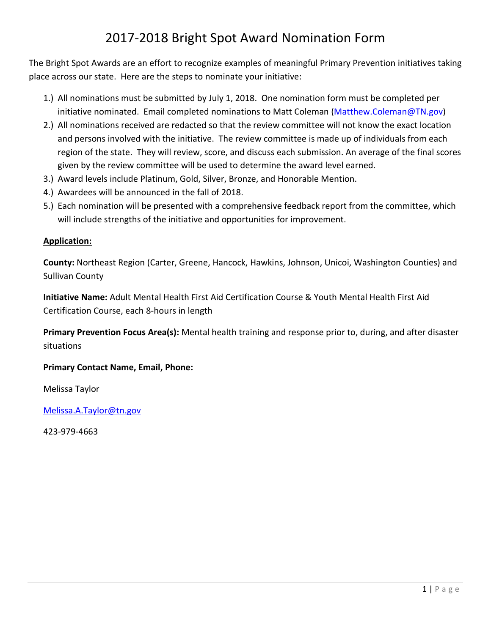# 2017-2018 Bright Spot Award Nomination Form

The Bright Spot Awards are an effort to recognize examples of meaningful Primary Prevention initiatives taking place across our state. Here are the steps to nominate your initiative:

- 1.) All nominations must be submitted by July 1, 2018. One nomination form must be completed per initiative nominated. Email completed nominations to Matt Coleman [\(Matthew.Coleman@TN.gov\)](mailto:Matthew.Coleman@TN.gov)
- 2.) All nominations received are redacted so that the review committee will not know the exact location and persons involved with the initiative. The review committee is made up of individuals from each region of the state. They will review, score, and discuss each submission. An average of the final scores given by the review committee will be used to determine the award level earned.
- 3.) Award levels include Platinum, Gold, Silver, Bronze, and Honorable Mention.
- 4.) Awardees will be announced in the fall of 2018.
- 5.) Each nomination will be presented with a comprehensive feedback report from the committee, which will include strengths of the initiative and opportunities for improvement.

### **Application:**

**County:** Northeast Region (Carter, Greene, Hancock, Hawkins, Johnson, Unicoi, Washington Counties) and Sullivan County

**Initiative Name:** Adult Mental Health First Aid Certification Course & Youth Mental Health First Aid Certification Course, each 8-hours in length

**Primary Prevention Focus Area(s):** Mental health training and response prior to, during, and after disaster situations

#### **Primary Contact Name, Email, Phone:**

Melissa Taylor

[Melissa.A.Taylor@tn.gov](mailto:Melissa.A.Taylor@tn.gov)

<span id="page-0-0"></span>423-979-4663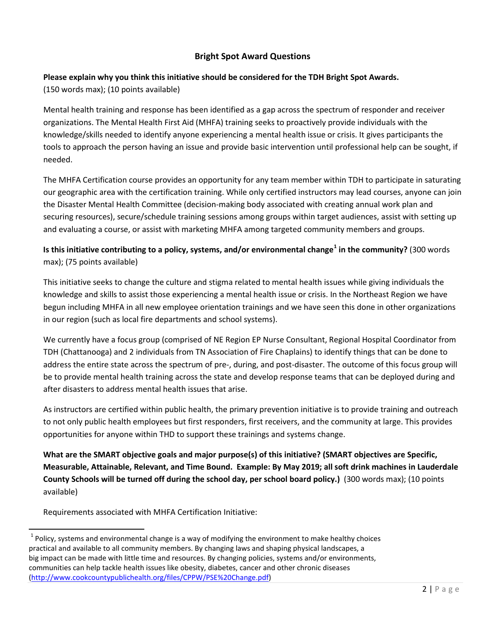### **Bright Spot Award Questions**

## **Please explain why you think this initiative should be considered for the TDH Bright Spot Awards.**

(150 words max); (10 points available)

Mental health training and response has been identified as a gap across the spectrum of responder and receiver organizations. The Mental Health First Aid (MHFA) training seeks to proactively provide individuals with the knowledge/skills needed to identify anyone experiencing a mental health issue or crisis. It gives participants the tools to approach the person having an issue and provide basic intervention until professional help can be sought, if needed.

The MHFA Certification course provides an opportunity for any team member within TDH to participate in saturating our geographic area with the certification training. While only certified instructors may lead courses, anyone can join the Disaster Mental Health Committee (decision-making body associated with creating annual work plan and securing resources), secure/schedule training sessions among groups within target audiences, assist with setting up and evaluating a course, or assist with marketing MHFA among targeted community members and groups.

## **Is this initiative contributing to a policy, systems, and/or environmental change[1](#page-0-0) in the community?** (300 words max); (75 points available)

This initiative seeks to change the culture and stigma related to mental health issues while giving individuals the knowledge and skills to assist those experiencing a mental health issue or crisis. In the Northeast Region we have begun including MHFA in all new employee orientation trainings and we have seen this done in other organizations in our region (such as local fire departments and school systems).

We currently have a focus group (comprised of NE Region EP Nurse Consultant, Regional Hospital Coordinator from TDH (Chattanooga) and 2 individuals from TN Association of Fire Chaplains) to identify things that can be done to address the entire state across the spectrum of pre-, during, and post-disaster. The outcome of this focus group will be to provide mental health training across the state and develop response teams that can be deployed during and after disasters to address mental health issues that arise.

As instructors are certified within public health, the primary prevention initiative is to provide training and outreach to not only public health employees but first responders, first receivers, and the community at large. This provides opportunities for anyone within THD to support these trainings and systems change.

**What are the SMART objective goals and major purpose(s) of this initiative? (SMART objectives are Specific, Measurable, Attainable, Relevant, and Time Bound. Example: By May 2019; all soft drink machines in Lauderdale County Schools will be turned off during the school day, per school board policy.)** (300 words max); (10 points available)

Requirements associated with MHFA Certification Initiative:

 $1$  Policy, systems and environmental change is a way of modifying the environment to make healthy choices practical and available to all community members. By changing laws and shaping physical landscapes, a big impact can be made with little time and resources. By changing policies, systems and/or environments, communities can help tackle health issues like obesity, diabetes, cancer and other chronic diseases [\(http://www.cookcountypublichealth.org/files/CPPW/PSE%20Change.pdf\)](http://www.cookcountypublichealth.org/files/CPPW/PSE%20Change.pdf)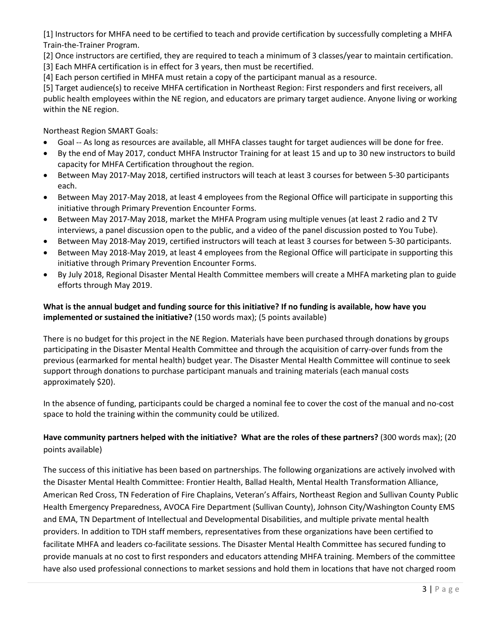[1] Instructors for MHFA need to be certified to teach and provide certification by successfully completing a MHFA Train-the-Trainer Program.

[2] Once instructors are certified, they are required to teach a minimum of 3 classes/year to maintain certification.

[3] Each MHFA certification is in effect for 3 years, then must be recertified.

[4] Each person certified in MHFA must retain a copy of the participant manual as a resource.

[5] Target audience(s) to receive MHFA certification in Northeast Region: First responders and first receivers, all public health employees within the NE region, and educators are primary target audience. Anyone living or working within the NE region.

Northeast Region SMART Goals:

- Goal -- As long as resources are available, all MHFA classes taught for target audiences will be done for free.
- By the end of May 2017, conduct MHFA Instructor Training for at least 15 and up to 30 new instructors to build capacity for MHFA Certification throughout the region.
- Between May 2017-May 2018, certified instructors will teach at least 3 courses for between 5-30 participants each.
- Between May 2017-May 2018, at least 4 employees from the Regional Office will participate in supporting this initiative through Primary Prevention Encounter Forms.
- Between May 2017-May 2018, market the MHFA Program using multiple venues (at least 2 radio and 2 TV interviews, a panel discussion open to the public, and a video of the panel discussion posted to You Tube).
- Between May 2018-May 2019, certified instructors will teach at least 3 courses for between 5-30 participants.
- Between May 2018-May 2019, at least 4 employees from the Regional Office will participate in supporting this initiative through Primary Prevention Encounter Forms.
- By July 2018, Regional Disaster Mental Health Committee members will create a MHFA marketing plan to guide efforts through May 2019.

#### **What is the annual budget and funding source for this initiative? If no funding is available, how have you implemented or sustained the initiative?** (150 words max); (5 points available)

There is no budget for this project in the NE Region. Materials have been purchased through donations by groups participating in the Disaster Mental Health Committee and through the acquisition of carry-over funds from the previous (earmarked for mental health) budget year. The Disaster Mental Health Committee will continue to seek support through donations to purchase participant manuals and training materials (each manual costs approximately \$20).

In the absence of funding, participants could be charged a nominal fee to cover the cost of the manual and no-cost space to hold the training within the community could be utilized.

## **Have community partners helped with the initiative? What are the roles of these partners?** (300 words max); (20 points available)

The success of this initiative has been based on partnerships. The following organizations are actively involved with the Disaster Mental Health Committee: Frontier Health, Ballad Health, Mental Health Transformation Alliance, American Red Cross, TN Federation of Fire Chaplains, Veteran's Affairs, Northeast Region and Sullivan County Public Health Emergency Preparedness, AVOCA Fire Department (Sullivan County), Johnson City/Washington County EMS and EMA, TN Department of Intellectual and Developmental Disabilities, and multiple private mental health providers. In addition to TDH staff members, representatives from these organizations have been certified to facilitate MHFA and leaders co-facilitate sessions. The Disaster Mental Health Committee has secured funding to provide manuals at no cost to first responders and educators attending MHFA training. Members of the committee have also used professional connections to market sessions and hold them in locations that have not charged room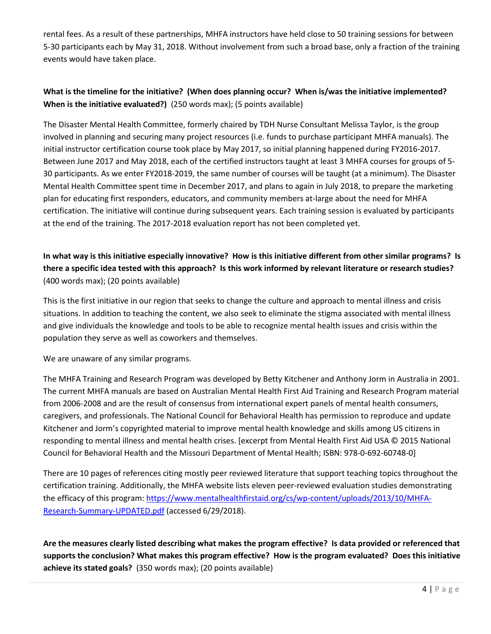rental fees. As a result of these partnerships, MHFA instructors have held close to 50 training sessions for between 5-30 participants each by May 31, 2018. Without involvement from such a broad base, only a fraction of the training events would have taken place.

## **What is the timeline for the initiative? (When does planning occur? When is/was the initiative implemented? When is the initiative evaluated?)** (250 words max); (5 points available)

The Disaster Mental Health Committee, formerly chaired by TDH Nurse Consultant Melissa Taylor, is the group involved in planning and securing many project resources (i.e. funds to purchase participant MHFA manuals). The initial instructor certification course took place by May 2017, so initial planning happened during FY2016-2017. Between June 2017 and May 2018, each of the certified instructors taught at least 3 MHFA courses for groups of 5- 30 participants. As we enter FY2018-2019, the same number of courses will be taught (at a minimum). The Disaster Mental Health Committee spent time in December 2017, and plans to again in July 2018, to prepare the marketing plan for educating first responders, educators, and community members at-large about the need for MHFA certification. The initiative will continue during subsequent years. Each training session is evaluated by participants at the end of the training. The 2017-2018 evaluation report has not been completed yet.

## **In what way is this initiative especially innovative? How is this initiative different from other similar programs? Is there a specific idea tested with this approach? Is this work informed by relevant literature or research studies?**  (400 words max); (20 points available)

This is the first initiative in our region that seeks to change the culture and approach to mental illness and crisis situations. In addition to teaching the content, we also seek to eliminate the stigma associated with mental illness and give individuals the knowledge and tools to be able to recognize mental health issues and crisis within the population they serve as well as coworkers and themselves.

We are unaware of any similar programs.

The MHFA Training and Research Program was developed by Betty Kitchener and Anthony Jorm in Australia in 2001. The current MHFA manuals are based on Australian Mental Health First Aid Training and Research Program material from 2006-2008 and are the result of consensus from international expert panels of mental health consumers, caregivers, and professionals. The National Council for Behavioral Health has permission to reproduce and update Kitchener and Jorm's copyrighted material to improve mental health knowledge and skills among US citizens in responding to mental illness and mental health crises. [excerpt from Mental Health First Aid USA © 2015 National Council for Behavioral Health and the Missouri Department of Mental Health; ISBN: 978-0-692-60748-0]

There are 10 pages of references citing mostly peer reviewed literature that support teaching topics throughout the certification training. Additionally, the MHFA website lists eleven peer-reviewed evaluation studies demonstrating the efficacy of this program[: https://www.mentalhealthfirstaid.org/cs/wp-content/uploads/2013/10/MHFA-](https://www.mentalhealthfirstaid.org/cs/wp-content/uploads/2013/10/MHFA-Research-Summary-UPDATED.pdf)[Research-Summary-UPDATED.pdf](https://www.mentalhealthfirstaid.org/cs/wp-content/uploads/2013/10/MHFA-Research-Summary-UPDATED.pdf) (accessed 6/29/2018).

**Are the measures clearly listed describing what makes the program effective? Is data provided or referenced that supports the conclusion? What makes this program effective? How is the program evaluated? Does this initiative achieve its stated goals?** (350 words max); (20 points available)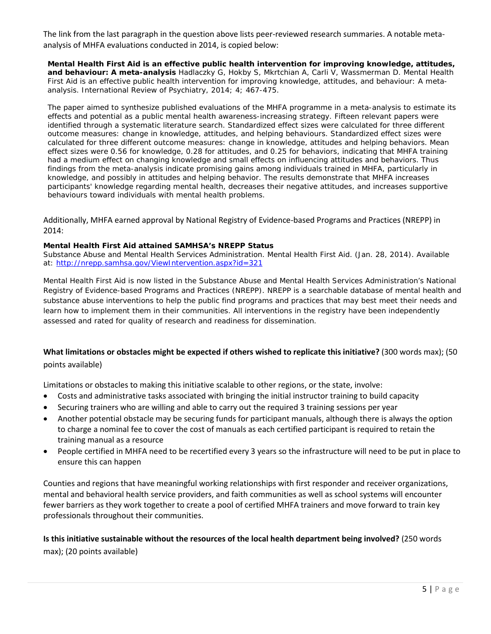The link from the last paragraph in the question above lists peer-reviewed research summaries. A notable metaanalysis of MHFA evaluations conducted in 2014, is copied below:

*Mental Health First Aid is an effective public health intervention for improving knowledge, attitudes, and behaviour: A meta-analysis Hadlaczky G, Hokby S, Mkrtchian A, Carli V, Wassmerman D. Mental Health First Aid is an effective public health intervention for improving knowledge, attitudes, and behaviour: A metaanalysis. International Review of Psychiatry, 2014; 4; 467-475.* 

*The paper aimed to synthesize published evaluations of the MHFA programme in a meta-analysis to estimate its effects and potential as a public mental health awareness-increasing strategy. Fifteen relevant papers were identified through a systematic literature search. Standardized effect sizes were calculated for three different outcome measures: change in knowledge, attitudes, and helping behaviours. Standardized effect sizes were calculated for three different outcome measures: change in knowledge, attitudes and helping behaviors. Mean effect sizes were 0.56 for knowledge, 0.28 for attitudes, and 0.25 for behaviors, indicating that MHFA training had a medium effect on changing knowledge and small effects on influencing attitudes and behaviors. Thus findings from the meta-analysis indicate promising gains among individuals trained in MHFA, particularly in knowledge, and possibly in attitudes and helping behavior. The results demonstrate that MHFA increases participants' knowledge regarding mental health, decreases their negative attitudes, and increases supportive behaviours toward individuals with mental health problems.*

Additionally, MHFA earned approval by National Registry of Evidence-based Programs and Practices (NREPP) in 2014:

#### *Mental Health First Aid attained SAMHSA's NREPP Status*

*Substance Abuse and Mental Health Services Administration. Mental Health First Aid. (Jan. 28, 2014). Available at:<http://nrepp.samhsa.gov/ViewIntervention.aspx?id=321>*

*Mental Health First Aid is now listed in the Substance Abuse and Mental Health Services Administration's National Registry of Evidence-based Programs and Practices (NREPP). NREPP is a searchable database of mental health and substance abuse interventions to help the public find programs and practices that may best meet their needs and learn how to implement them in their communities. All interventions in the registry have been independently assessed and rated for quality of research and readiness for dissemination.* 

**What limitations or obstacles might be expected if others wished to replicate this initiative?** (300 words max); (50

points available)

Limitations or obstacles to making this initiative scalable to other regions, or the state, involve:

- Costs and administrative tasks associated with bringing the initial instructor training to build capacity
- Securing trainers who are willing and able to carry out the required 3 training sessions per year
- Another potential obstacle may be securing funds for participant manuals, although there is always the option to charge a nominal fee to cover the cost of manuals as each certified participant is required to retain the training manual as a resource
- People certified in MHFA need to be recertified every 3 years so the infrastructure will need to be put in place to ensure this can happen

Counties and regions that have meaningful working relationships with first responder and receiver organizations, mental and behavioral health service providers, and faith communities as well as school systems will encounter fewer barriers as they work together to create a pool of certified MHFA trainers and move forward to train key professionals throughout their communities.

**Is this initiative sustainable without the resources of the local health department being involved?** (250 words max); (20 points available)